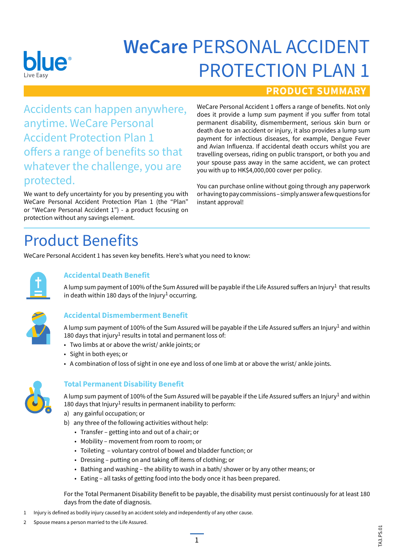

# **WeCare** PERSONAL ACCIDENT PROTECTION PLAN 1

### **PRODUCT SUMMARY**

Accidents can happen anywhere, anytime. WeCare Personal Accident Protection Plan 1 offers a range of benefits so that whatever the challenge, you are protected.

We want to defy uncertainty for you by presenting you with WeCare Personal Accident Protection Plan 1 (the "Plan" or "WeCare Personal Accident 1") - a product focusing on protection without any savings element.

WeCare Personal Accident 1 offers a range of benefits. Not only does it provide a lump sum payment if you suffer from total permanent disability, dismemberment, serious skin burn or death due to an accident or injury, it also provides a lump sum payment for infectious diseases, for example, Dengue Fever and Avian Influenza. If accidental death occurs whilst you are travelling overseas, riding on public transport, or both you and your spouse pass away in the same accident, we can protect you with up to HK\$4,000,000 cover per policy.

You can purchase online without going through any paperwork or having to pay commissions – simply answer a few questions for instant approval!

# Product Benefits

WeCare Personal Accident 1 has seven key benefits. Here's what you need to know:



### **Accidental Death Benefit**

A lump sum payment of 100% of the Sum Assured will be payable if the Life Assured suffers an Injury<sup>1</sup> that results in death within 180 days of the Injury<sup>1</sup> occurring.



### **Accidental Dismemberment Benefit**

A lump sum payment of 100% of the Sum Assured will be payable if the Life Assured suffers an Injury<sup>1</sup> and within 180 days that injury<sup>1</sup> results in total and permanent loss of:

- Two limbs at or above the wrist/ ankle joints; or
- Sight in both eyes; or
- A combination of loss of sight in one eye and loss of one limb at or above the wrist/ ankle joints.



### **Total Permanent Disability Benefit**

A lump sum payment of 100% of the Sum Assured will be payable if the Life Assured suffers an Injury<sup>1</sup> and within 180 days that Injury<sup>1</sup> results in permanent inability to perform:

- a) any gainful occupation; or
- b) any three of the following activities without help:
	- Transfer getting into and out of a chair; or
	- Mobility movement from room to room; or
	- Toileting voluntary control of bowel and bladder function; or
	- Dressing putting on and taking off items of clothing; or
	- Bathing and washing the ability to wash in a bath/ shower or by any other means; or
	- Eating all tasks of getting food into the body once it has been prepared.

For the Total Permanent Disability Benefit to be payable, the disability must persist continuously for at least 180 days from the date of diagnosis.

- 1 Injury is defined as bodily injury caused by an accident solely and independently of any other cause.
- 2 Spouse means a person married to the Life Assured.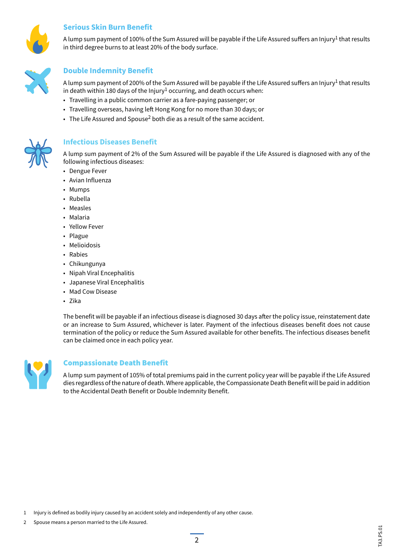

#### **Serious Skin Burn Benefit**

A lump sum payment of 100% of the Sum Assured will be payable if the Life Assured suffers an Injury<sup>1</sup> that results in third degree burns to at least 20% of the body surface.



#### **Double Indemnity Benefit**

A lump sum payment of 200% of the Sum Assured will be payable if the Life Assured suffers an Injury<sup>1</sup> that results in death within 180 days of the Injury<sup>1</sup> occurring, and death occurs when:

- Travelling in a public common carrier as a fare-paying passenger; or
- Travelling overseas, having left Hong Kong for no more than 30 days; or
- The Life Assured and Spouse<sup>2</sup> both die as a result of the same accident.



#### **Infectious Diseases Benefit**

A lump sum payment of 2% of the Sum Assured will be payable if the Life Assured is diagnosed with any of the following infectious diseases:

- Dengue Fever
- Avian Influenza
- Mumps
- Rubella
- Measles
- Malaria
- Yellow Fever
- Plague
- Melioidosis
- Rabies
- Chikungunya
- Nipah Viral Encephalitis
- Japanese Viral Encephalitis
- Mad Cow Disease
- Zika

The benefit will be payable if an infectious disease is diagnosed 30 days after the policy issue, reinstatement date or an increase to Sum Assured, whichever is later. Payment of the infectious diseases benefit does not cause termination of the policy or reduce the Sum Assured available for other benefits. The infectious diseases benefit can be claimed once in each policy year.



#### Compassionate Death Benefit

A lump sum payment of 105% of total premiums paid in the current policy year will be payable if the Life Assured dies regardless of the nature of death. Where applicable, the Compassionate Death Benefit will be paid in addition to the Accidental Death Benefit or Double Indemnity Benefit.

- 1 Injury is defined as bodily injury caused by an accident solely and independently of any other cause.
- 2 Spouse means a person married to the Life Assured.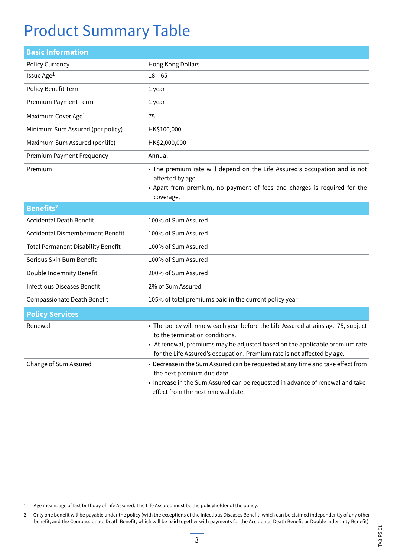# Product Summary Table

| <b>Basic Information</b>                  |                                                                                                                                                                                                                                                                               |
|-------------------------------------------|-------------------------------------------------------------------------------------------------------------------------------------------------------------------------------------------------------------------------------------------------------------------------------|
| <b>Policy Currency</b>                    | Hong Kong Dollars                                                                                                                                                                                                                                                             |
| Issue Age <sup>1</sup>                    | $18 - 65$                                                                                                                                                                                                                                                                     |
| Policy Benefit Term                       | 1 year                                                                                                                                                                                                                                                                        |
| Premium Payment Term                      | 1 year                                                                                                                                                                                                                                                                        |
| Maximum Cover Age <sup>1</sup>            | 75                                                                                                                                                                                                                                                                            |
| Minimum Sum Assured (per policy)          | HK\$100,000                                                                                                                                                                                                                                                                   |
| Maximum Sum Assured (per life)            | HK\$2,000,000                                                                                                                                                                                                                                                                 |
| <b>Premium Payment Frequency</b>          | Annual                                                                                                                                                                                                                                                                        |
| Premium                                   | • The premium rate will depend on the Life Assured's occupation and is not<br>affected by age.<br>• Apart from premium, no payment of fees and charges is required for the<br>coverage.                                                                                       |
| Benefits <sup>2</sup>                     |                                                                                                                                                                                                                                                                               |
| <b>Accidental Death Benefit</b>           | 100% of Sum Assured                                                                                                                                                                                                                                                           |
| Accidental Dismemberment Benefit          | 100% of Sum Assured                                                                                                                                                                                                                                                           |
| <b>Total Permanent Disability Benefit</b> | 100% of Sum Assured                                                                                                                                                                                                                                                           |
| Serious Skin Burn Benefit                 | 100% of Sum Assured                                                                                                                                                                                                                                                           |
| Double Indemnity Benefit                  | 200% of Sum Assured                                                                                                                                                                                                                                                           |
| <b>Infectious Diseases Benefit</b>        | 2% of Sum Assured                                                                                                                                                                                                                                                             |
| Compassionate Death Benefit               | 105% of total premiums paid in the current policy year                                                                                                                                                                                                                        |
| <b>Policy Services</b>                    |                                                                                                                                                                                                                                                                               |
| Renewal                                   | • The policy will renew each year before the Life Assured attains age 75, subject<br>to the termination conditions.<br>• At renewal, premiums may be adjusted based on the applicable premium rate<br>for the Life Assured's occupation. Premium rate is not affected by age. |
| Change of Sum Assured                     | • Decrease in the Sum Assured can be requested at any time and take effect from<br>the next premium due date.<br>• Increase in the Sum Assured can be requested in advance of renewal and take<br>effect from the next renewal date.                                          |

- 1 Age means age of last birthday of Life Assured. The Life Assured must be the policyholder of the policy.
- 2 Only one benefit will be payable under the policy (with the exceptions of the Infectious Diseases Benefit, which can be claimed independently of any other benefit, and the Compassionate Death Benefit, which will be paid together with payments for the Accidental Death Benefit or Double Indemnity Benefit).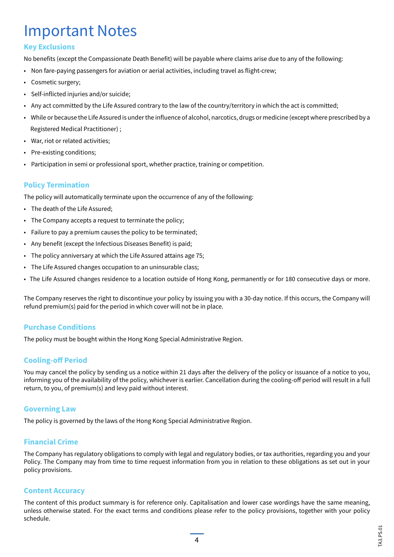# Important Notes

#### **Key Exclusions**

No benefits (except the Compassionate Death Benefit) will be payable where claims arise due to any of the following:

- Non fare-paying passengers for aviation or aerial activities, including travel as flight-crew;
- Cosmetic surgery;
- Self-inflicted injuries and/or suicide;
- Any act committed by the Life Assured contrary to the law of the country/territory in which the act is committed;
- While or because the Life Assured is under the influence of alcohol, narcotics, drugs or medicine (except where prescribed by a Registered Medical Practitioner) ;
- War, riot or related activities;
- Pre-existing conditions;
- Participation in semi or professional sport, whether practice, training or competition.

#### **Policy Termination**

The policy will automatically terminate upon the occurrence of any of the following:

- The death of the Life Assured;
- The Company accepts a request to terminate the policy;
- Failure to pay a premium causes the policy to be terminated;
- Any benefit (except the Infectious Diseases Benefit) is paid;
- The policy anniversary at which the Life Assured attains age 75;
- The Life Assured changes occupation to an uninsurable class;
- The Life Assured changes residence to a location outside of Hong Kong, permanently or for 180 consecutive days or more.

The Company reserves the right to discontinue your policy by issuing you with a 30-day notice. If this occurs, the Company will refund premium(s) paid for the period in which cover will not be in place.

#### **Purchase Conditions**

The policy must be bought within the Hong Kong Special Administrative Region.

#### **Cooling-off Period**

You may cancel the policy by sending us a notice within 21 days after the delivery of the policy or issuance of a notice to you, informing you of the availability of the policy, whichever is earlier. Cancellation during the cooling-off period will result in a full return, to you, of premium(s) and levy paid without interest.

#### **Governing Law**

The policy is governed by the laws of the Hong Kong Special Administrative Region.

#### **Financial Crime**

The Company has regulatory obligations to comply with legal and regulatory bodies, or tax authorities, regarding you and your Policy. The Company may from time to time request information from you in relation to these obligations as set out in your policy provisions.

#### **Content Accuracy**

The content of this product summary is for reference only. Capitalisation and lower case wordings have the same meaning, unless otherwise stated. For the exact terms and conditions please refer to the policy provisions, together with your policy schedule.